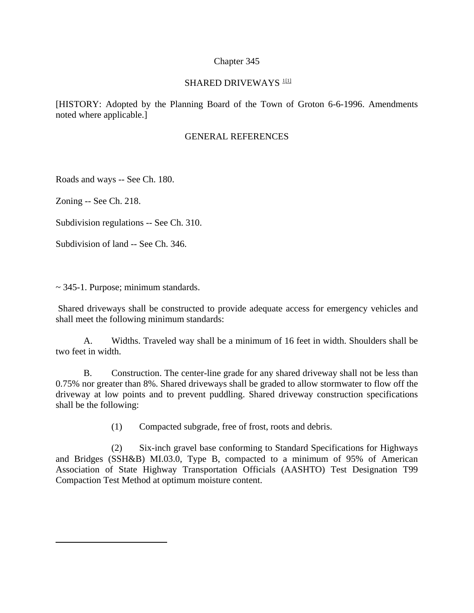#### Chapter 345

#### SHARED DRIVEWAYS<sup>[1](#page-0-0)11</sup>

[HISTORY: Adopted by the Planning Board of the Town of Groton 6-6-1996. Amendments noted where applicable.]

## GENERAL REFERENCES

Roads and ways -- See Ch. 180.

Zoning -- See Ch. 218.

<span id="page-0-0"></span> $\overline{a}$ 

Subdivision regulations -- See Ch. 310.

Subdivision of land -- See Ch. 346.

 $\sim$  345-1. Purpose; minimum standards.

 Shared driveways shall be constructed to provide adequate access for emergency vehicles and shall meet the following minimum standards:

 A. Widths. Traveled way shall be a minimum of 16 feet in width. Shoulders shall be two feet in width.

 B. Construction. The center-line grade for any shared driveway shall not be less than 0.75% nor greater than 8%. Shared driveways shall be graded to allow stormwater to flow off the driveway at low points and to prevent puddling. Shared driveway construction specifications shall be the following:

(1) Compacted subgrade, free of frost, roots and debris.

 (2) Six-inch gravel base conforming to Standard Specifications for Highways and Bridges (SSH&B) MI.03.0, Type B, compacted to a minimum of 95% of American Association of State Highway Transportation Officials (AASHTO) Test Designation T99 Compaction Test Method at optimum moisture content.